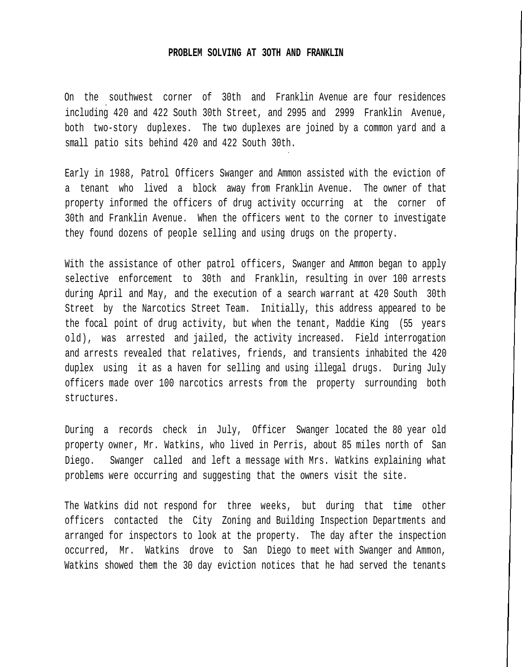## **PROBLEM SOLVING AT 3OTH AND FRANKLIN**

On the southwest corner of 30th and Franklin Avenue are four residences including 420 and 422 South 30th Street, and 2995 and 2999 Franklin Avenue, both two-story duplexes. The two duplexes are joined by a common yard and a small patio sits behind 420 and 422 South 30th.

Early in 1988, Patrol Officers Swanger and Ammon assisted with the eviction of a tenant who lived a block away from Franklin Avenue. The owner of that property informed the officers of drug activity occurring at the corner of 30th and Franklin Avenue. When the officers went to the corner to investigate they found dozens of people selling and using drugs on the property.

With the assistance of other patrol officers, Swanger and Ammon began to apply selective enforcement to 30th and Franklin, resulting in over 100 arrests during April and May, and the execution of a search warrant at 420 South 30th Street by the Narcotics Street Team. Initially, this address appeared to be the focal point of drug activity, but when the tenant, Maddie King (55 years old), was arrested and jailed, the activity increased. Field interrogation and arrests revealed that relatives, friends, and transients inhabited the 420 duplex using it as a haven for selling and using illegal drugs. During July officers made over 100 narcotics arrests from the property surrounding both structures.

During a records check in July, Officer Swanger located the 80 year old property owner, Mr. Watkins, who lived in Perris, about 85 miles north of San Diego. Swanger called and left a message with Mrs. Watkins explaining what problems were occurring and suggesting that the owners visit the site.

The Watkins did not respond for three weeks, but during that time other officers contacted the City Zoning and Building Inspection Departments and arranged for inspectors to look at the property. The day after the inspection occurred, Mr. Watkins drove to San Diego to meet with Swanger and Ammon, Watkins showed them the 30 day eviction notices that he had served the tenants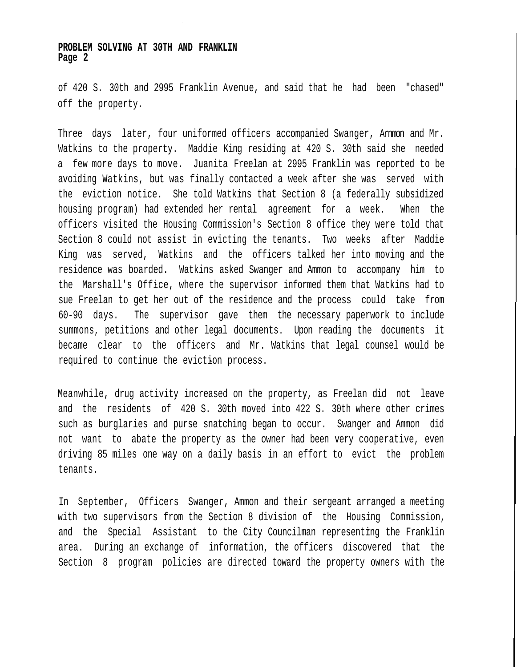## **PROBLEM SOLVING AT 30TH AND FRANKLIN Page 2**

of 420 S. 30th and 2995 Franklin Avenue, and said that he had been "chased" off the property.

Three days later, four uniformed officers accompanied Swanger, Arnmon and Mr. Watkins to the property. Maddie King residing at 420 S. 30th said she needed a few more days to move. Juanita Freelan at 2995 Franklin was reported to be avoiding Watkins, but was finally contacted a week after she was served with the eviction notice. She told Watkins that Section 8 (a federally subsidized housing program) had extended her rental agreement for a week. When the officers visited the Housing Commission's Section 8 office they were told that Section 8 could not assist in evicting the tenants. Two weeks after Maddie King was served, Watkins and the officers talked her into moving and the residence was boarded. Watkins asked Swanger and Ammon to accompany him to the Marshall's Office, where the supervisor informed them that Watkins had to sue Freelan to get her out of the residence and the process could take from 60-90 days. The supervisor gave them the necessary paperwork to include summons, petitions and other legal documents. Upon reading the documents it became clear to the officers and Mr. Watkins that legal counsel would be required to continue the eviction process.

Meanwhile, drug activity increased on the property, as Freelan did not leave and the residents of 420 S. 30th moved into 422 S. 30th where other crimes such as burglaries and purse snatching began to occur. Swanger and Ammon did not want to abate the property as the owner had been very cooperative, even driving 85 miles one way on a daily basis in an effort to evict the problem tenants.

In September, Officers Swanger, Ammon and their sergeant arranged a meeting with two supervisors from the Section 8 division of the Housing Commission, and the Special Assistant to the City Councilman representing the Franklin area. During an exchange of information, the officers discovered that the Section 8 program policies are directed toward the property owners with the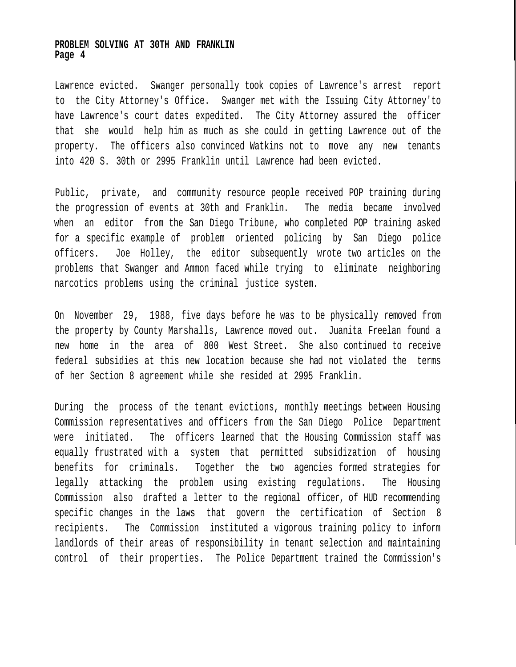## **PROBLEM SOLVING AT 30TH AND FRANKLIN Page 4**

Lawrence evicted. Swanger personally took copies of Lawrence's arrest report to the City Attorney's Office. Swanger met with the Issuing City Attorney'to have Lawrence's court dates expedited. The City Attorney assured the officer that she would help him as much as she could in getting Lawrence out of the property. The officers also convinced Watkins not to move any new tenants into 420 S. 30th or 2995 Franklin until Lawrence had been evicted.

Public, private, and community resource people received POP training during the progression of events at 30th and Franklin. The media became involved when an editor from the San Diego Tribune, who completed POP training asked for a specific example of problem oriented policing by San Diego police officers. Joe Holley, the editor subsequently wrote two articles on the problems that Swanger and Ammon faced while trying to eliminate neighboring narcotics problems using the criminal justice system.

On November 29, 1988, five days before he was to be physically removed from the property by County Marshalls, Lawrence moved out. Juanita Freelan found a new home in the area of 800 West Street. She also continued to receive federal subsidies at this new location because she had not violated the terms of her Section 8 agreement while she resided at 2995 Franklin.

During the process of the tenant evictions, monthly meetings between Housing Commission representatives and officers from the San Diego Police Department were initiated. The officers learned that the Housing Commission staff was equally frustrated with a system that permitted subsidization of housing benefits for criminals. Together the two agencies formed strategies for legally attacking the problem using existing regulations. The Housing Commission also drafted a letter to the regional officer, of HUD recommending specific changes in the laws that govern the certification of Section 8 recipients. The Commission instituted a vigorous training policy to inform landlords of their areas of responsibility in tenant selection and maintaining control of their properties. The Police Department trained the Commission's